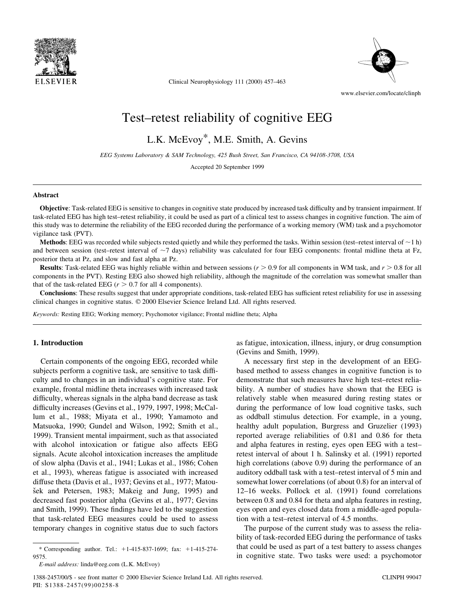

Clinical Neurophysiology 111 (2000) 457-463



www.elsevier.com/locate/clinph

# Test-retest reliability of cognitive EEG

L.K. McEvoy\*, M.E. Smith, A. Gevins

EEG Systems Laboratory & SAM Technology, 425 Bush Street, San Francisco, CA 94108-3708, USA

Accepted 20 September 1999

# Abstract

Objective: Task-related EEG is sensitive to changes in cognitive state produced by increased task difficulty and by transient impairment. If task-related EEG has high test-retest reliability, it could be used as part of a clinical test to assess changes in cognitive function. The aim of this study was to determine the reliability of the EEG recorded during the performance of a working memory (WM) task and a psychomotor vigilance task (PVT).

**Methods:** EEG was recorded while subjects rested quietly and while they performed the tasks. Within session (test–retest interval of  $\sim$ 1 h) and between session (test-retest interval of  $\sim$ 7 days) reliability was calculated for four EEG components: frontal midline theta at Fz, posterior theta at Pz, and slow and fast alpha at Pz.

**Results:** Task-related EEG was highly reliable within and between sessions ( $r > 0.9$  for all components in WM task, and  $r > 0.8$  for all components in the PVT). Resting EEG also showed high reliability, although the magnitude of the correlation was somewhat smaller than that of the task-related EEG ( $r > 0.7$  for all 4 components).

**Conclusions:** These results suggest that under appropriate conditions, task-related EEG has sufficient retest reliability for use in assessing clinical changes in cognitive status.  $\oslash$  2000 Elsevier Science Ireland Ltd. All rights reserved.

Keywords: Resting EEG; Working memory; Psychomotor vigilance; Frontal midline theta; Alpha

# 1. Introduction

Certain components of the ongoing EEG, recorded while subjects perform a cognitive task, are sensitive to task difficulty and to changes in an individual's cognitive state. For example, frontal midline theta increases with increased task difficulty, whereas signals in the alpha band decrease as task difficulty increases (Gevins et al., 1979, 1997, 1998; McCallum et al., 1988; Miyata et al., 1990; Yamamoto and Matsuoka, 1990; Gundel and Wilson, 1992; Smith et al., 1999). Transient mental impairment, such as that associated with alcohol intoxication or fatigue also affects EEG signals. Acute alcohol intoxication increases the amplitude of slow alpha (Davis et al., 1941; Lukas et al., 1986; Cohen et al., 1993), whereas fatigue is associated with increased diffuse theta (Davis et al., 1937; Gevins et al., 1977; Matoušek and Petersen, 1983; Makeig and Jung, 1995) and decreased fast posterior alpha (Gevins et al., 1977; Gevins and Smith, 1999). These findings have led to the suggestion that task-related EEG measures could be used to assess temporary changes in cognitive status due to such factors

as fatigue, intoxication, illness, injury, or drug consumption (Gevins and Smith, 1999).

A necessary first step in the development of an EEGbased method to assess changes in cognitive function is to demonstrate that such measures have high test-retest reliability. A number of studies have shown that the EEG is relatively stable when measured during resting states or during the performance of low load cognitive tasks, such as oddball stimulus detection. For example, in a young, healthy adult population, Burgress and Gruzelier (1993) reported average reliabilities of 0.81 and 0.86 for theta and alpha features in resting, eyes open EEG with a testretest interval of about 1 h. Salinsky et al. (1991) reported high correlations (above 0.9) during the performance of an auditory oddball task with a test-retest interval of 5 min and somewhat lower correlations (of about 0.8) for an interval of 12-16 weeks. Pollock et al. (1991) found correlations between 0.8 and 0.84 for theta and alpha features in resting, eyes open and eyes closed data from a middle-aged population with a test-retest interval of 4.5 months.

The purpose of the current study was to assess the reliability of task-recorded EEG during the performance of tasks that could be used as part of a test battery to assess changes in cognitive state. Two tasks were used: a psychomotor

<sup>\*</sup> Corresponding author. Tel.:  $+1-415-837-1699$ ; fax:  $+1-415-274-$ 9575.

E-mail address: linda@eeg.com (L.K. McEvoy)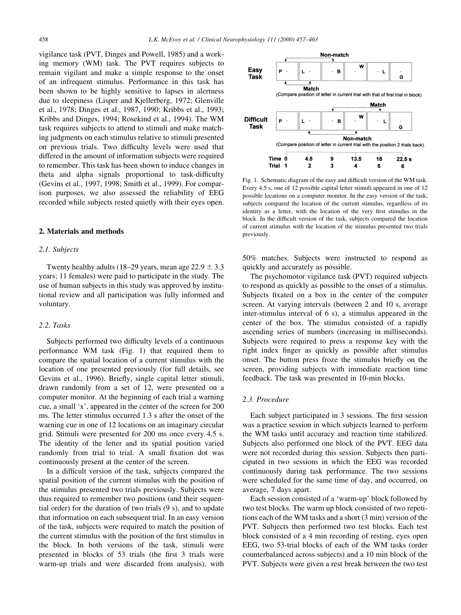vigilance task (PVT, Dinges and Powell, 1985) and a working memory (WM) task. The PVT requires subjects to remain vigilant and make a simple response to the onset of an infrequent stimulus. Performance in this task has been shown to be highly sensitive to lapses in alertness due to sleepiness (Lisper and Kjellerberg, 1972; Glenville et al., 1978; Dinges et al., 1987, 1990; Kribbs et al., 1993; Kribbs and Dinges, 1994; Rosekind et al., 1994). The WM task requires subjects to attend to stimuli and make matching judgments on each stimulus relative to stimuli presented on previous trials. Two difficulty levels were used that differed in the amount of information subjects were required to remember. This task has been shown to induce changes in theta and alpha signals proportional to task-difficulty (Gevins et al., 1997, 1998; Smith et al., 1999). For comparison purposes, we also assessed the reliability of EEG recorded while subjects rested quietly with their eyes open.

## 2. Materials and methods

#### 2.1. Subjects

Twenty healthy adults (18–29 years, mean age 22.9  $\pm$  3.3 years; 11 females) were paid to participate in the study. The use of human subjects in this study was approved by institutional review and all participation was fully informed and voluntary.

## 2.2. Tasks

Subjects performed two difficulty levels of a continuous performance WM task (Fig. 1) that required them to compare the spatial location of a current stimulus with the location of one presented previously (for full details, see Gevins et al., 1996). Briefly, single capital letter stimuli, drawn randomly from a set of 12, were presented on a computer monitor. At the beginning of each trial a warning cue, a small `x', appeared in the center of the screen for 200 ms. The letter stimulus occurred 1.3 s after the onset of the warning cue in one of 12 locations on an imaginary circular grid. Stimuli were presented for 200 ms once every 4.5 s. The identity of the letter and its spatial position varied randomly from trial to trial. A small fixation dot was continuously present at the center of the screen.

In a difficult version of the task, subjects compared the spatial position of the current stimulus with the position of the stimulus presented two trials previously. Subjects were thus required to remember two positions (and their sequential order) for the duration of two trials (9 s), and to update that information on each subsequent trial. In an easy version of the task, subjects were required to match the position of the current stimulus with the position of the first stimulus in the block. In both versions of the task, stimuli were presented in blocks of 53 trials (the first 3 trials were warm-up trials and were discarded from analysis), with



Fig. 1. Schematic diagram of the easy and difficult version of the WM task. Every 4.5 s, one of 12 possible capital letter stimuli appeared in one of 12 possible locations on a computer monitor. In the easy version of the task, subjects compared the location of the current stimulus, regardless of its identity as a letter, with the location of the very first stimulus in the block. In the difficult version of the task, subjects compared the location of current stimulus with the location of the stimulus presented two trials previously.

50% matches. Subjects were instructed to respond as quickly and accurately as possible.

The psychomotor vigilance task (PVT) required subjects to respond as quickly as possible to the onset of a stimulus. Subjects fixated on a box in the center of the computer screen. At varying intervals (between 2 and 10 s, average inter-stimulus interval of 6 s), a stimulus appeared in the center of the box. The stimulus consisted of a rapidly ascending series of numbers (increasing in milliseconds). Subjects were required to press a response key with the right index finger as quickly as possible after stimulus onset. The button press froze the stimulus briefly on the screen, providing subjects with immediate reaction time feedback. The task was presented in 10-min blocks.

#### 2.3. Procedure

Each subject participated in 3 sessions. The first session was a practice session in which subjects learned to perform the WM tasks until accuracy and reaction time stabilized. Subjects also performed one block of the PVT. EEG data were not recorded during this session. Subjects then participated in two sessions in which the EEG was recorded continuously during task performance. The two sessions were scheduled for the same time of day, and occurred, on average, 7 days apart.

Each session consisted of a 'warm-up' block followed by two test blocks. The warm up block consisted of two repetitions each of the WM tasks and a short (3 min) version of the PVT. Subjects then performed two test blocks. Each test block consisted of a 4 min recording of resting, eyes open EEG, two 53-trial blocks of each of the WM tasks (order counterbalanced across subjects) and a 10 min block of the PVT. Subjects were given a rest break between the two test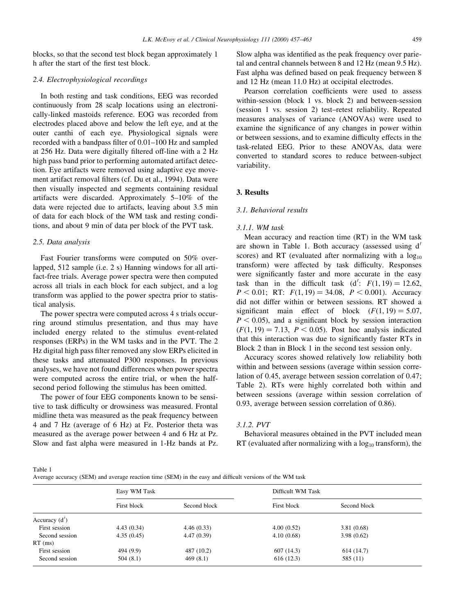blocks, so that the second test block began approximately 1 h after the start of the first test block.

## 2.4. Electrophysiological recordings

In both resting and task conditions, EEG was recorded continuously from 28 scalp locations using an electronically-linked mastoids reference. EOG was recorded from electrodes placed above and below the left eye, and at the outer canthi of each eye. Physiological signals were recorded with a bandpass filter of 0.01-100 Hz and sampled at 256 Hz. Data were digitally filtered off-line with a 2 Hz high pass band prior to performing automated artifact detection. Eye artifacts were removed using adaptive eye movement artifact removal filters (cf. Du et al., 1994). Data were then visually inspected and segments containing residual artifacts were discarded. Approximately  $5-10\%$  of the data were rejected due to artifacts, leaving about 3.5 min of data for each block of the WM task and resting conditions, and about 9 min of data per block of the PVT task.

#### 2.5. Data analysis

Fast Fourier transforms were computed on 50% overlapped, 512 sample (i.e. 2 s) Hanning windows for all artifact-free trials. Average power spectra were then computed across all trials in each block for each subject, and a log transform was applied to the power spectra prior to statistical analysis.

The power spectra were computed across 4 s trials occurring around stimulus presentation, and thus may have included energy related to the stimulus event-related responses (ERPs) in the WM tasks and in the PVT. The 2 Hz digital high pass filter removed any slow ERPs elicited in these tasks and attenuated P300 responses. In previous analyses, we have not found differences when power spectra were computed across the entire trial, or when the halfsecond period following the stimulus has been omitted.

The power of four EEG components known to be sensitive to task difficulty or drowsiness was measured. Frontal midline theta was measured as the peak frequency between 4 and 7 Hz (average of 6 Hz) at Fz. Posterior theta was measured as the average power between 4 and 6 Hz at Pz. Slow and fast alpha were measured in 1-Hz bands at Pz. Slow alpha was identified as the peak frequency over parietal and central channels between 8 and 12 Hz (mean 9.5 Hz). Fast alpha was defined based on peak frequency between 8 and 12 Hz (mean 11.0 Hz) at occipital electrodes.

Pearson correlation coefficients were used to assess within-session (block 1 vs. block 2) and between-session (session  $1$  vs. session  $2$ ) test-retest reliability. Repeated measures analyses of variance (ANOVAs) were used to examine the significance of any changes in power within or between sessions, and to examine difficulty effects in the task-related EEG. Prior to these ANOVAs, data were converted to standard scores to reduce between-subject variability.

## 3. Results

## 3.1. Behavioral results

#### 3.1.1. WM task

Mean accuracy and reaction time (RT) in the WM task are shown in Table 1. Both accuracy (assessed using  $d'$ scores) and RT (evaluated after normalizing with a  $log_{10}$ transform) were affected by task difficulty. Responses were significantly faster and more accurate in the easy task than in the difficult task  $(d' : F(1, 19) = 12.62)$ ,  $P < 0.01$ ; RT:  $F(1, 19) = 34.08$ ,  $P < 0.001$ ). Accuracy did not differ within or between sessions. RT showed a significant main effect of block  $(F(1, 19) = 5.07,$  $P < 0.05$ ), and a significant block by session interaction  $(F(1, 19) = 7.13, P < 0.05)$ . Post hoc analysis indicated that this interaction was due to significantly faster RTs in Block 2 than in Block 1 in the second test session only.

Accuracy scores showed relatively low reliability both within and between sessions (average within session correlation of 0.45, average between session correlation of 0.47; Table 2). RTs were highly correlated both within and between sessions (average within session correlation of 0.93, average between session correlation of 0.86).

#### 3.1.2. PVT

Behavioral measures obtained in the PVT included mean RT (evaluated after normalizing with a  $log_{10}$  transform), the

Table 1

Average accuracy (SEM) and average reaction time (SEM) in the easy and difficult versions of the WM task

|                 | Easy WM Task |              | Difficult WM Task |              |  |
|-----------------|--------------|--------------|-------------------|--------------|--|
|                 | First block  | Second block | First block       | Second block |  |
| Accuracy $(d')$ |              |              |                   |              |  |
| First session   | 4.43(0.34)   | 4.46(0.33)   | 4.00(0.52)        | 3.81(0.68)   |  |
| Second session  | 4.35(0.45)   | 4.47(0.39)   | 4.10(0.68)        | 3.98(0.62)   |  |
| $RT$ (ms)       |              |              |                   |              |  |
| First session   | 494 (9.9)    | 487 (10.2)   | 607(14.3)         | 614(14.7)    |  |
| Second session  | 504(8.1)     | 469(8.1)     | 616(12.3)         | 585 (11)     |  |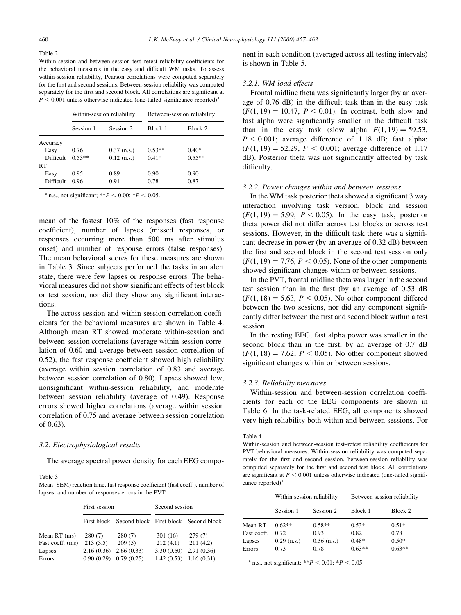Table 2

Within-session and between-session test-retest reliability coefficients for the behavioral measures in the easy and difficult WM tasks. To assess within-session reliability, Pearson correlations were computed separately for the first and second sessions. Between-session reliability was computed separately for the first and second block. All correlations are significant at  $P < 0.001$  unless otherwise indicated (one-tailed significance reported)<sup>a</sup>

|           | Within-session reliability |               | Between-session reliability |          |  |
|-----------|----------------------------|---------------|-----------------------------|----------|--|
|           | Session 1                  | Session 2     | Block 1                     | Block 2  |  |
| Accuracy  |                            |               |                             |          |  |
| Easy      | 0.76                       | $0.37$ (n.s.) | $0.53**$                    | $0.40*$  |  |
| Difficult | $0.53**$                   | $0.12$ (n.s.) | $0.41*$                     | $0.55**$ |  |
| <b>RT</b> |                            |               |                             |          |  |
| Easy      | 0.95                       | 0.89          | 0.90                        | 0.90     |  |
| Difficult | 0.96                       | 0.91          | 0.78                        | 0.87     |  |

<sup>a</sup> n.s., not significant; \*\**P* < 0.00; \**P* < 0.05.

mean of the fastest 10% of the responses (fast response coefficient), number of lapses (missed responses, or responses occurring more than 500 ms after stimulus onset) and number of response errors (false responses). The mean behavioral scores for these measures are shown in Table 3. Since subjects performed the tasks in an alert state, there were few lapses or response errors. The behavioral measures did not show significant effects of test block or test session, nor did they show any significant interactions.

The across session and within session correlation coefficients for the behavioral measures are shown in Table 4. Although mean RT showed moderate within-session and between-session correlations (average within session correlation of 0.60 and average between session correlation of  $0.52$ ), the fast response coefficient showed high reliability (average within session correlation of 0.83 and average between session correlation of 0.80). Lapses showed low, nonsignificant within-session reliability, and moderate between session reliability (average of 0.49). Response errors showed higher correlations (average within session correlation of 0.75 and average between session correlation of 0.63).

#### 3.2. Electrophysiological results

The average spectral power density for each EEG compo-

Table 3

Mean (SEM) reaction time, fast response coefficient (fast coeff.), number of lapses, and number of responses errors in the PVT

|                  | First session |                                                   | Second session |                           |  |
|------------------|---------------|---------------------------------------------------|----------------|---------------------------|--|
|                  |               | First block Second block First block Second block |                |                           |  |
| Mean $RT$ (ms)   | 280(7)        | 280(7)                                            | 301 (16)       | 279(7)                    |  |
| Fast coeff. (ms) | 213(3.5)      | 209(5)                                            | 212(4.1)       | 211(4.2)                  |  |
| Lapses           | 2.16(0.36)    | 2.66(0.33)                                        |                | $3.30(0.60)$ $2.91(0.36)$ |  |
| Errors           |               | $0.90(0.29)$ $0.79(0.25)$                         |                | $1.42(0.53)$ $1.16(0.31)$ |  |

nent in each condition (averaged across all testing intervals) is shown in Table 5.

#### 3.2.1. WM load effects

Frontal midline theta was significantly larger (by an average of  $0.76$  dB) in the difficult task than in the easy task  $(F(1, 19) = 10.47, P < 0.01)$ . In contrast, both slow and fast alpha were significantly smaller in the difficult task than in the easy task (slow alpha  $F(1, 19) = 59.53$ ,  $P < 0.001$ ; average difference of 1.18 dB; fast alpha:  $(F(1, 19) = 52.29, P < 0.001$ ; average difference of 1.17 dB). Posterior theta was not significantly affected by task difficulty.

#### 3.2.2. Power changes within and between sessions

In the WM task posterior theta showed a significant 3 way interaction involving task version, block and session  $(F(1, 19) = 5.99, P < 0.05)$ . In the easy task, posterior theta power did not differ across test blocks or across test sessions. However, in the difficult task there was a significant decrease in power (by an average of 0.32 dB) between the first and second block in the second test session only  $(F(1, 19) = 7.76, P < 0.05)$ . None of the other components showed significant changes within or between sessions.

In the PVT, frontal midline theta was larger in the second test session than in the first (by an average of  $0.53$  dB  $(F(1, 18) = 5.63, P < 0.05)$ . No other component differed between the two sessions, nor did any component significantly differ between the first and second block within a test session.

In the resting EEG, fast alpha power was smaller in the second block than in the first, by an average of 0.7 dB  $(F(1, 18) = 7.62; P < 0.05)$ . No other component showed significant changes within or between sessions.

## 3.2.3. Reliability measures

Within-session and between-session correlation coefficients for each of the EEG components are shown in Table 6. In the task-related EEG, all components showed very high reliability both within and between sessions. For

Table 4

Within-session and between-session test-retest reliability coefficients for PVT behavioral measures. Within-session reliability was computed separately for the first and second session, between-session reliability was computed separately for the first and second test block. All correlations are significant at  $P < 0.001$  unless otherwise indicated (one-tailed significance reported) $a$ 

|             | Within session reliability |               | Between session reliability |          |  |
|-------------|----------------------------|---------------|-----------------------------|----------|--|
|             | Session 1                  | Session 2     | Block 1                     | Block 2  |  |
| Mean RT     | $0.62**$                   | $0.58**$      | $0.53*$                     | $0.51*$  |  |
| Fast coeff. | 0.72                       | 0.93          | 0.82                        | 0.78     |  |
| Lapses      | $0.29$ (n.s.)              | $0.36$ (n.s.) | $0.48*$                     | $0.50*$  |  |
| Errors      | 0.73                       | 0.78          | $0.63**$                    | $0.63**$ |  |

<sup>a</sup> n.s., not significant; \*\* $P < 0.01$ ; \* $P < 0.05$ .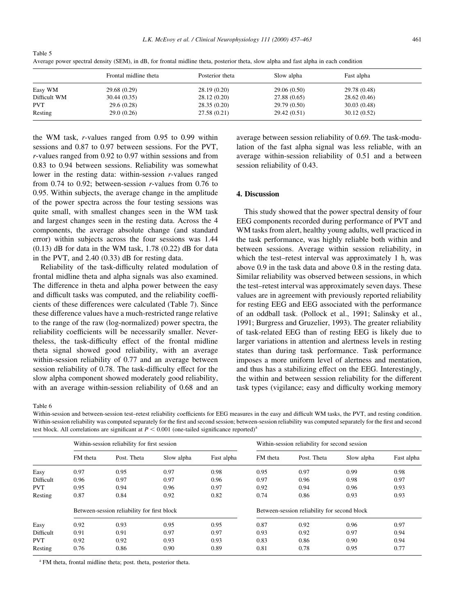| Average power spectral density (SEM), in dB, for frontal midline theta, posterior theta, slow alpha and fast alpha in each condition |                             |                              |                              |                             |  |  |  |
|--------------------------------------------------------------------------------------------------------------------------------------|-----------------------------|------------------------------|------------------------------|-----------------------------|--|--|--|
|                                                                                                                                      | Frontal midline theta       | Posterior theta              | Slow alpha                   | Fast alpha                  |  |  |  |
| Easy WM<br>Difficult WM                                                                                                              | 29.68 (0.29)<br>30.44(0.35) | 28.19 (0.20)<br>28.12 (0.20) | 29.06 (0.50)<br>27.88 (0.65) | 29.78 (0.48)<br>28.62(0.46) |  |  |  |

PVT 29.6 (0.28) 28.35 (0.20) 28.39 29.79 (0.50) 30.03 (0.48) Resting 29.0 (0.26) 27.58 (0.21) 29.42 (0.51) 30.12 (0.52)

Average power spectral density (SEM), in dB, for frontal midline theta, posterior theta, slow alpha and fast alpha in each condition

the WM task, r-values ranged from 0.95 to 0.99 within sessions and 0.87 to 0.97 between sessions. For the PVT, r-values ranged from 0.92 to 0.97 within sessions and from 0.83 to 0.94 between sessions. Reliability was somewhat lower in the resting data: within-session r-values ranged from 0.74 to 0.92; between-session  $r$ -values from 0.76 to 0.95. Within subjects, the average change in the amplitude of the power spectra across the four testing sessions was quite small, with smallest changes seen in the WM task and largest changes seen in the resting data. Across the 4 components, the average absolute change (and standard error) within subjects across the four sessions was 1.44  $(0.13)$  dB for data in the WM task,  $1.78$   $(0.22)$  dB for data in the PVT, and 2.40 (0.33) dB for resting data.

Reliability of the task-difficulty related modulation of frontal midline theta and alpha signals was also examined. The difference in theta and alpha power between the easy and difficult tasks was computed, and the reliability coefficients of these differences were calculated (Table 7). Since these difference values have a much-restricted range relative to the range of the raw (log-normalized) power spectra, the reliability coefficients will be necessarily smaller. Nevertheless, the task-difficulty effect of the frontal midline theta signal showed good reliability, with an average within-session reliability of 0.77 and an average between session reliability of 0.78. The task-difficulty effect for the slow alpha component showed moderately good reliability, with an average within-session reliability of 0.68 and an

average between session reliability of 0.69. The task-modulation of the fast alpha signal was less reliable, with an average within-session reliability of 0.51 and a between session reliability of 0.43.

#### 4. Discussion

This study showed that the power spectral density of four EEG components recorded during performance of PVT and WM tasks from alert, healthy young adults, well practiced in the task performance, was highly reliable both within and between sessions. Average within session reliability, in which the test-retest interval was approximately 1 h, was above 0.9 in the task data and above 0.8 in the resting data. Similar reliability was observed between sessions, in which the test-retest interval was approximately seven days. These values are in agreement with previously reported reliability for resting EEG and EEG associated with the performance of an oddball task. (Pollock et al., 1991; Salinsky et al., 1991; Burgress and Gruzelier, 1993). The greater reliability of task-related EEG than of resting EEG is likely due to larger variations in attention and alertness levels in resting states than during task performance. Task performance imposes a more uniform level of alertness and mentation, and thus has a stabilizing effect on the EEG. Interestingly, the within and between session reliability for the different task types (vigilance; easy and difficulty working memory

Table 6

Table 5

Within-session and between-session test-retest reliability coefficients for EEG measures in the easy and difficult WM tasks, the PVT, and resting condition. Within-session reliability was computed separately for the first and second session; between-session reliability was computed separately for the first and second test block. All correlations are significant at  $P \le 0.001$  (one-tailed significance reported)<sup>a</sup>

|            | Within-session reliability for first session |                                             |            |            | Within-session reliability for second session |                                              |            |            |
|------------|----------------------------------------------|---------------------------------------------|------------|------------|-----------------------------------------------|----------------------------------------------|------------|------------|
|            | FM theta                                     | Post. Theta                                 | Slow alpha | Fast alpha | FM theta                                      | Post. Theta                                  | Slow alpha | Fast alpha |
| Easy       | 0.97                                         | 0.95                                        | 0.97       | 0.98       | 0.95                                          | 0.97                                         | 0.99       | 0.98       |
| Difficult  | 0.96                                         | 0.97                                        | 0.97       | 0.96       | 0.97                                          | 0.96                                         | 0.98       | 0.97       |
| <b>PVT</b> | 0.95                                         | 0.94                                        | 0.96       | 0.97       | 0.92                                          | 0.94                                         | 0.96       | 0.93       |
| Resting    | 0.87                                         | 0.84                                        | 0.92       | 0.82       | 0.74                                          | 0.86                                         | 0.93       | 0.93       |
|            |                                              | Between-session reliability for first block |            |            |                                               | Between-session reliability for second block |            |            |
| Easy       | 0.92                                         | 0.93                                        | 0.95       | 0.95       | 0.87                                          | 0.92                                         | 0.96       | 0.97       |
| Difficult  | 0.91                                         | 0.91                                        | 0.97       | 0.97       | 0.93                                          | 0.92                                         | 0.97       | 0.94       |
| <b>PVT</b> | 0.92                                         | 0.92                                        | 0.93       | 0.93       | 0.83                                          | 0.86                                         | 0.90       | 0.94       |
| Resting    | 0.76                                         | 0.86                                        | 0.90       | 0.89       | 0.81                                          | 0.78                                         | 0.95       | 0.77       |

<sup>a</sup> FM theta, frontal midline theta; post. theta, posterior theta.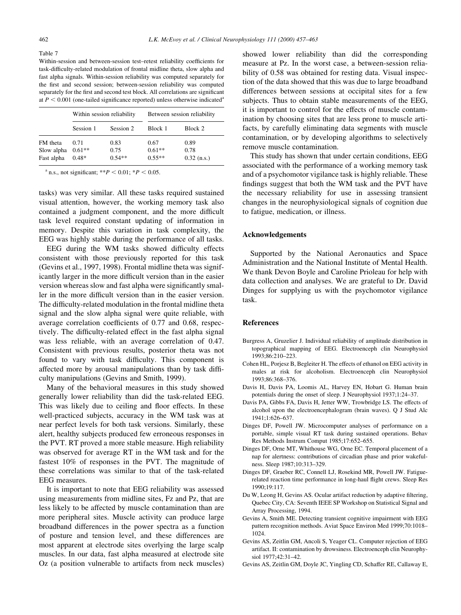Table 7

Within-session and between-session test-retest reliability coefficients for task-difficulty-related modulation of frontal midline theta, slow alpha and fast alpha signals. Within-session reliability was computed separately for the first and second session; between-session reliability was computed separately for the first and second test block. All correlations are significant at  $P < 0.001$  (one-tailed significance reported) unless otherwise indicated<sup>a</sup>

|                                      | Within session reliability  |                          | Between session reliability  |                               |
|--------------------------------------|-----------------------------|--------------------------|------------------------------|-------------------------------|
|                                      | Session 1                   | Session 2                | Block 1                      | Block 2                       |
| FM theta<br>Slow alpha<br>Fast alpha | 0.71<br>$0.61**$<br>$0.48*$ | 0.83<br>0.75<br>$0.54**$ | 0.67<br>$0.61**$<br>$0.55**$ | 0.89<br>0.78<br>$0.32$ (n.s.) |

<sup>a</sup> n.s., not significant; \*\*P < 0.01;  $*P < 0.05$ .

tasks) was very similar. All these tasks required sustained visual attention, however, the working memory task also contained a judgment component, and the more difficult task level required constant updating of information in memory. Despite this variation in task complexity, the EEG was highly stable during the performance of all tasks.

EEG during the WM tasks showed difficulty effects consistent with those previously reported for this task (Gevins et al., 1997, 1998). Frontal midline theta was significantly larger in the more difficult version than in the easier version whereas slow and fast alpha were significantly smaller in the more difficult version than in the easier version. The difficulty-related modulation in the frontal midline theta signal and the slow alpha signal were quite reliable, with average correlation coefficients of  $0.77$  and  $0.68$ , respectively. The difficulty-related effect in the fast alpha signal was less reliable, with an average correlation of 0.47. Consistent with previous results, posterior theta was not found to vary with task difficulty. This component is affected more by arousal manipulations than by task difficulty manipulations (Gevins and Smith, 1999).

Many of the behavioral measures in this study showed generally lower reliability than did the task-related EEG. This was likely due to ceiling and floor effects. In these well-practiced subjects, accuracy in the WM task was at near perfect levels for both task versions. Similarly, these alert, healthy subjects produced few erroneous responses in the PVT. RT proved a more stable measure. High reliability was observed for average RT in the WM task and for the fastest 10% of responses in the PVT. The magnitude of these correlations was similar to that of the task-related EEG measures.

It is important to note that EEG reliability was assessed using measurements from midline sites, Fz and Pz, that are less likely to be affected by muscle contamination than are more peripheral sites. Muscle activity can produce large broadband differences in the power spectra as a function of posture and tension level, and these differences are most apparent at electrode sites overlying the large scalp muscles. In our data, fast alpha measured at electrode site Oz (a position vulnerable to artifacts from neck muscles) showed lower reliability than did the corresponding measure at Pz. In the worst case, a between-session reliability of 0.58 was obtained for resting data. Visual inspection of the data showed that this was due to large broadband differences between sessions at occipital sites for a few subjects. Thus to obtain stable measurements of the EEG, it is important to control for the effects of muscle contamination by choosing sites that are less prone to muscle artifacts, by carefully eliminating data segments with muscle contamination, or by developing algorithms to selectively remove muscle contamination.

This study has shown that under certain conditions, EEG associated with the performance of a working memory task and of a psychomotor vigilance task is highly reliable. These findings suggest that both the WM task and the PVT have the necessary reliability for use in assessing transient changes in the neurophysiological signals of cognition due to fatigue, medication, or illness.

## Acknowledgements

Supported by the National Aeronautics and Space Administration and the National Institute of Mental Health. We thank Devon Boyle and Caroline Prioleau for help with data collection and analyses. We are grateful to Dr. David Dinges for supplying us with the psychomotor vigilance task.

#### References

- Burgress A, Gruzelier J. Individual reliability of amplitude distribution in topographical mapping of EEG. Electroenceph clin Neurophysiol 1993;86:210±223.
- Cohen HL, Porjesz B, Begleiter H. The effects of ethanol on EEG activity in males at risk for alcoholism. Electroenceph clin Neurophysiol 1993;86:368±376.
- Davis H, Davis PA, Loomis AL, Harvey EN, Hobart G. Human brain potentials during the onset of sleep. J Neurophysiol  $1937;1:24-37$ .
- Davis PA, Gibbs FA, Davis H, Jetter WW, Trowbridge LS. The effects of alcohol upon the electroencephalogram (brain waves). Q J Stud Alc 1941:1:626-637.
- Dinges DF, Powell JW. Microcomputer analyses of performance on a portable, simple visual RT task during sustained operations. Behav Res Methods Instrum Comput 1985;17:652-655.
- Dinges DF, Orne MT, Whithouse WG, Orne EC. Temporal placement of a nap for alertness: contributions of circadian phase and prior wakefulness. Sleep 1987:10:313-329.
- Dinges DF, Graeber RC, Connell LJ, Rosekind MR, Powell JW. Fatiguerelated reaction time performance in long-haul flight crews. Sleep Res 1990;19:117.
- Du W, Leong H, Gevins AS. Ocular artifact reduction by adaptive filtering, Quebec City, CA: Seventh IEEE SP Workshop on Statistical Signal and Array Processing, 1994.
- Gevins A, Smith ME. Detecting transient cognitive impairment with EEG pattern recognition methods. Aviat Space Environ Med 1999;70:1018-1024.
- Gevins AS, Zeitlin GM, Ancoli S, Yeager CL. Computer rejection of EEG artifact. II: contamination by drowsiness. Electroenceph clin Neurophysiol 1977;42:31-42.
- Gevins AS, Zeitlin GM, Doyle JC, Yingling CD, Schaffer RE, Callaway E,